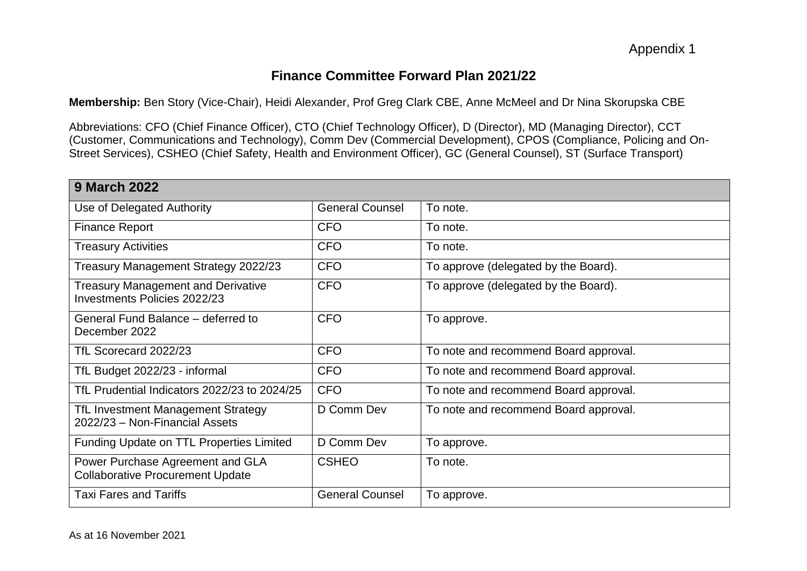# **Finance Committee Forward Plan 2021/22**

**Membership:** Ben Story (Vice-Chair), Heidi Alexander, Prof Greg Clark CBE, Anne McMeel and Dr Nina Skorupska CBE

Abbreviations: CFO (Chief Finance Officer), CTO (Chief Technology Officer), D (Director), MD (Managing Director), CCT (Customer, Communications and Technology), Comm Dev (Commercial Development), CPOS (Compliance, Policing and On-Street Services), CSHEO (Chief Safety, Health and Environment Officer), GC (General Counsel), ST (Surface Transport)

| <b>9 March 2022</b>                                                         |                        |                                       |
|-----------------------------------------------------------------------------|------------------------|---------------------------------------|
| Use of Delegated Authority                                                  | <b>General Counsel</b> | To note.                              |
| <b>Finance Report</b>                                                       | <b>CFO</b>             | To note.                              |
| <b>Treasury Activities</b>                                                  | <b>CFO</b>             | To note.                              |
| Treasury Management Strategy 2022/23                                        | <b>CFO</b>             | To approve (delegated by the Board).  |
| <b>Treasury Management and Derivative</b><br>Investments Policies 2022/23   | <b>CFO</b>             | To approve (delegated by the Board).  |
| General Fund Balance – deferred to<br>December 2022                         | <b>CFO</b>             | To approve.                           |
| TfL Scorecard 2022/23                                                       | <b>CFO</b>             | To note and recommend Board approval. |
| TfL Budget 2022/23 - informal                                               | <b>CFO</b>             | To note and recommend Board approval. |
| TfL Prudential Indicators 2022/23 to 2024/25                                | <b>CFO</b>             | To note and recommend Board approval. |
| TfL Investment Management Strategy<br>2022/23 - Non-Financial Assets        | D Comm Dev             | To note and recommend Board approval. |
| Funding Update on TTL Properties Limited                                    | D Comm Dev             | To approve.                           |
| Power Purchase Agreement and GLA<br><b>Collaborative Procurement Update</b> | <b>CSHEO</b>           | To note.                              |
| <b>Taxi Fares and Tariffs</b>                                               | <b>General Counsel</b> | To approve.                           |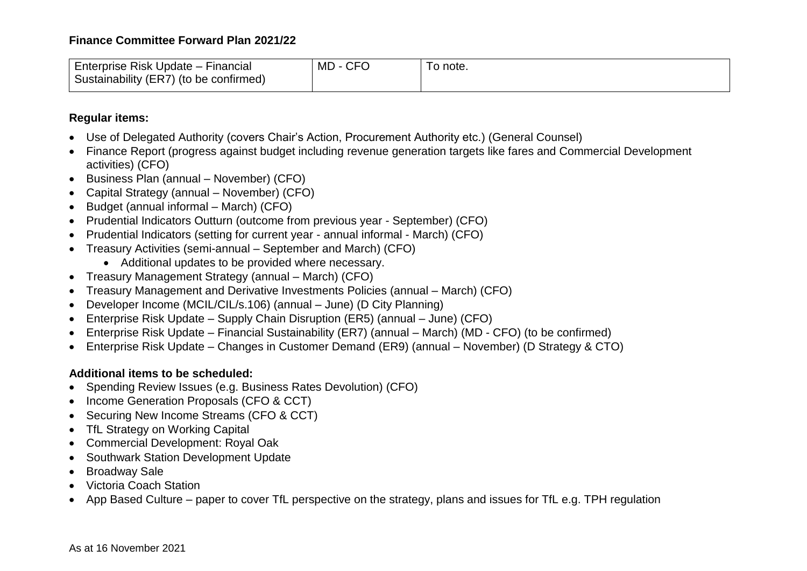### **Finance Committee Forward Plan 2021/22**

| Enterprise Risk Update -<br>Financiai<br>Sustainability (ER7) (to be confirmed) | $\mathsf{C}\mathsf{F}\mathsf{C}$<br>MD | note.<br>. U |
|---------------------------------------------------------------------------------|----------------------------------------|--------------|
|---------------------------------------------------------------------------------|----------------------------------------|--------------|

#### **Regular items:**

- Use of Delegated Authority (covers Chair's Action, Procurement Authority etc.) (General Counsel)
- Finance Report (progress against budget including revenue generation targets like fares and Commercial Development activities) (CFO)
- Business Plan (annual November) (CFO)
- Capital Strategy (annual November) (CFO)
- Budget (annual informal March) (CFO)
- Prudential Indicators Outturn (outcome from previous year September) (CFO)
- Prudential Indicators (setting for current year annual informal March) (CFO)
- Treasury Activities (semi-annual September and March) (CFO)
	- Additional updates to be provided where necessary.
- Treasury Management Strategy (annual March) (CFO)
- Treasury Management and Derivative Investments Policies (annual March) (CFO)
- Developer Income (MCIL/CIL/s.106) (annual June) (D City Planning)
- Enterprise Risk Update Supply Chain Disruption (ER5) (annual June) (CFO)
- Enterprise Risk Update Financial Sustainability (ER7) (annual March) (MD CFO) (to be confirmed)
- Enterprise Risk Update Changes in Customer Demand (ER9) (annual November) (D Strategy & CTO)

## **Additional items to be scheduled:**

- Spending Review Issues (e.g. Business Rates Devolution) (CFO)
- Income Generation Proposals (CFO & CCT)
- Securing New Income Streams (CFO & CCT)
- TfL Strategy on Working Capital
- Commercial Development: Royal Oak
- Southwark Station Development Update
- Broadway Sale
- Victoria Coach Station
- App Based Culture paper to cover TfL perspective on the strategy, plans and issues for TfL e.g. TPH regulation